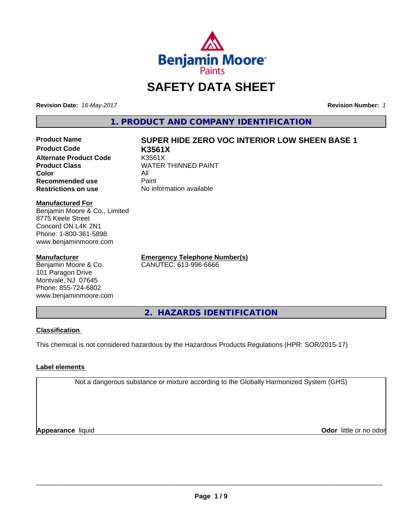

# **SAFETY DATA SHEET**

**Revision Date:** *16-May-2017* **Revision Number:** *1*

**1. PRODUCT AND COMPANY IDENTIFICATION**

**Product Code K3561X Alternate Product Code** K3561X<br> **Product Class** WATER **Color** All<br> **Recommended use** Paint **Recommended use**<br>Restrictions on use

# **Product Name SUPER HIDE ZERO VOC INTERIOR LOW SHEEN BASE 1**

**WATER THINNED PAINT No information available** 

#### **Manufactured For**

Benjamin Moore & Co., Limited 8775 Keele Street Concord ON L4K 2N1 Phone: 1-800-361-5898 www.benjaminmoore.com

#### **Manufacturer**

Benjamin Moore & Co. 101 Paragon Drive Montvale, NJ 07645 Phone: 855-724-6802 www.benjaminmoore.com

**Emergency Telephone Number(s)** CANUTEC: 613-996-6666

**2. HAZARDS IDENTIFICATION**

# **Classification**

This chemical is not considered hazardous by the Hazardous Products Regulations (HPR: SOR/2015-17)

# **Label elements**

Not a dangerous substance or mixture according to the Globally Harmonized System (GHS)

**Appearance** liquid

**Odor** little or no odor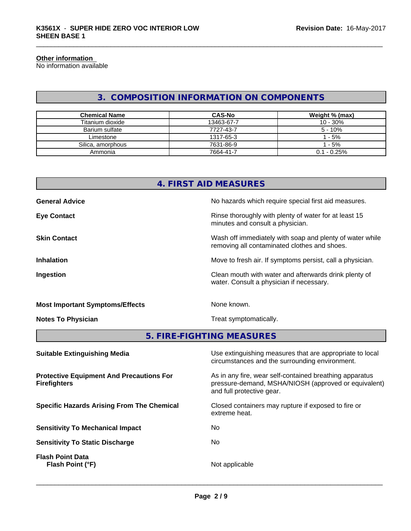# **Other information**

No information available

# **3. COMPOSITION INFORMATION ON COMPONENTS**

| <b>Chemical Name</b> | <b>CAS-No</b> | Weight % (max) |
|----------------------|---------------|----------------|
| Titanium dioxide     | 13463-67-7    | $10 - 30%$     |
| Barium sulfate       | 7727-43-7     | $5 - 10%$      |
| Limestone            | 1317-65-3     | - 5%           |
| Silica, amorphous    | 7631-86-9     | - 5%           |
| Ammonia              | 7664-41-7     | $0.1 - 0.25%$  |

# **4. FIRST AID MEASURES**

| <b>General Advice</b>                  | No hazards which require special first aid measures.                                                     |
|----------------------------------------|----------------------------------------------------------------------------------------------------------|
| <b>Eye Contact</b>                     | Rinse thoroughly with plenty of water for at least 15<br>minutes and consult a physician.                |
| <b>Skin Contact</b>                    | Wash off immediately with soap and plenty of water while<br>removing all contaminated clothes and shoes. |
| <b>Inhalation</b>                      | Move to fresh air. If symptoms persist, call a physician.                                                |
| Ingestion                              | Clean mouth with water and afterwards drink plenty of<br>water. Consult a physician if necessary.        |
| <b>Most Important Symptoms/Effects</b> | None known.                                                                                              |

**Notes To Physician** Motes To Physician Treat symptomatically.

**5. FIRE-FIGHTING MEASURES**

| <b>Suitable Extinguishing Media</b>                                    | Use extinguishing measures that are appropriate to local<br>circumstances and the surrounding environment.                                   |
|------------------------------------------------------------------------|----------------------------------------------------------------------------------------------------------------------------------------------|
| <b>Protective Equipment And Precautions For</b><br><b>Firefighters</b> | As in any fire, wear self-contained breathing apparatus<br>pressure-demand, MSHA/NIOSH (approved or equivalent)<br>and full protective gear. |
| <b>Specific Hazards Arising From The Chemical</b>                      | Closed containers may rupture if exposed to fire or<br>extreme heat.                                                                         |
| <b>Sensitivity To Mechanical Impact</b>                                | No.                                                                                                                                          |
| <b>Sensitivity To Static Discharge</b>                                 | No.                                                                                                                                          |
| <b>Flash Point Data</b><br>Flash Point (°F)                            | Not applicable                                                                                                                               |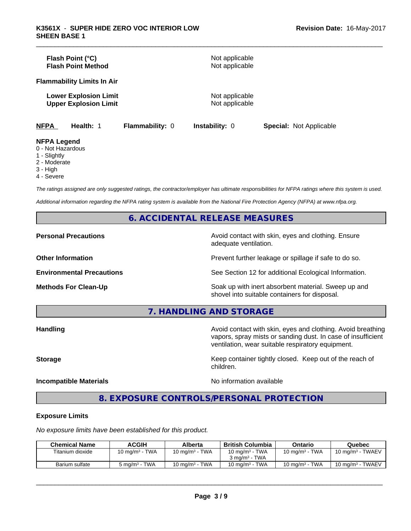|                                                           | Flash Point (°C)<br><b>Flash Point Method</b>                |                 | Not applicable<br>Not applicable |                                |  |
|-----------------------------------------------------------|--------------------------------------------------------------|-----------------|----------------------------------|--------------------------------|--|
|                                                           | <b>Flammability Limits In Air</b>                            |                 |                                  |                                |  |
|                                                           | <b>Lower Explosion Limit</b><br><b>Upper Explosion Limit</b> |                 | Not applicable<br>Not applicable |                                |  |
| <b>NFPA</b>                                               | Health: 1                                                    | Flammability: 0 | <b>Instability: 0</b>            | <b>Special: Not Applicable</b> |  |
| <b>NFPA Legend</b><br>0 - Not Hazardous<br>$1 -$ Slightly |                                                              |                 |                                  |                                |  |

- 1 Slightly 2 - Moderate
- 3 High
- 
- 4 Severe

*The ratings assigned are only suggested ratings, the contractor/employer has ultimate responsibilities for NFPA ratings where this system is used.*

*Additional information regarding the NFPA rating system is available from the National Fire Protection Agency (NFPA) at www.nfpa.org.*

# **6. ACCIDENTAL RELEASE MEASURES**

### **Personal Precautions Avoid contact with skin, eyes and clothing. Ensure** Avoid contact with skin, eyes and clothing. Ensure

adequate ventilation.

**Other Information Other Information Prevent further leakage or spillage if safe to do so.** 

**Environmental Precautions** See Section 12 for additional Ecological Information.

**Methods For Clean-Up** Soak up with inert absorbent material. Sweep up and shovel into suitable containers for disposal.

**7. HANDLING AND STORAGE**

**Handling Handling Avoid contact with skin, eyes and clothing. Avoid breathing** vapors, spray mists or sanding dust. In case of insufficient ventilation, wear suitable respiratory equipment.

**Storage Keep container tightly closed. Keep out of the reach of Keep** container tightly closed. Keep out of the reach of

#### **Incompatible Materials No information available**

 $\overline{\phantom{a}}$  ,  $\overline{\phantom{a}}$  ,  $\overline{\phantom{a}}$  ,  $\overline{\phantom{a}}$  ,  $\overline{\phantom{a}}$  ,  $\overline{\phantom{a}}$  ,  $\overline{\phantom{a}}$  ,  $\overline{\phantom{a}}$  ,  $\overline{\phantom{a}}$  ,  $\overline{\phantom{a}}$  ,  $\overline{\phantom{a}}$  ,  $\overline{\phantom{a}}$  ,  $\overline{\phantom{a}}$  ,  $\overline{\phantom{a}}$  ,  $\overline{\phantom{a}}$  ,  $\overline{\phantom{a}}$ 

**8. EXPOSURE CONTROLS/PERSONAL PROTECTION**

children.

#### **Exposure Limits**

*No exposure limits have been established for this product.*

| <b>Chemical Name</b> | <b>ACGIH</b>      | Alberta                   | <b>British Columbia</b>   | Ontario           | Quebec                       |
|----------------------|-------------------|---------------------------|---------------------------|-------------------|------------------------------|
| Titanium dioxide     | 10 mg/m $3$ - TWA | 10 mg/m $3$ - TWA         | 10 mg/m $3$ - TWA         | 10 mg/m $3$ - TWA | 10 mg/m <sup>3</sup> - TWAEV |
|                      |                   |                           | $3 \text{ ma/m}^3$ - TWA  |                   |                              |
| Barium sulfate       | 5 ma/mª - TWA     | $10 \text{ ma/m}^3$ - TWA | $10 \text{ ma/m}^3$ - TWA | 10 mg/m $3$ - TWA | 10 mg/m <sup>3</sup> - TWAEV |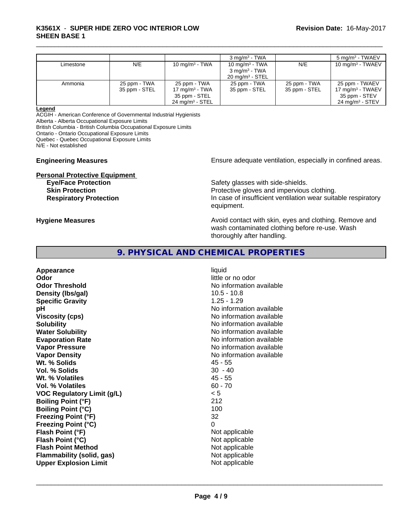# \_\_\_\_\_\_\_\_\_\_\_\_\_\_\_\_\_\_\_\_\_\_\_\_\_\_\_\_\_\_\_\_\_\_\_\_\_\_\_\_\_\_\_\_\_\_\_\_\_\_\_\_\_\_\_\_\_\_\_\_\_\_\_\_\_\_\_\_\_\_\_\_\_\_\_\_\_\_\_\_\_\_\_\_\_\_\_\_\_\_\_\_\_ **K3561X** - **SUPER HIDE ZERO VOC INTERIOR LOW SHEEN BASE 1**

|           |               |                            | $3 \text{ mg/m}^3$ - TWA                      |               | $5 \text{ mg/m}^3$ - TWAEV |
|-----------|---------------|----------------------------|-----------------------------------------------|---------------|----------------------------|
| Limestone | N/E           | 10 mg/m $3$ - TWA          | 10 mg/m $3$ - TWA<br>$3 \text{ ma/m}^3$ - TWA | N/E           | 10 mg/m $3$ - TWAEV        |
|           |               |                            |                                               |               |                            |
|           |               |                            | $20 \text{ mg/m}^3$ - STEL                    |               |                            |
| Ammonia   | 25 ppm - TWA  | 25 ppm - TWA               | 25 ppm - TWA                                  | 25 ppm - TWA  | 25 ppm - TWAEV             |
|           | 35 ppm - STEL | 17 mg/m $3$ - TWA          | 35 ppm - STEL                                 | 35 ppm - STEL | 17 mg/m $3$ - TWAEV        |
|           |               | 35 ppm - STEL              |                                               |               | 35 ppm - STEV              |
|           |               | $24 \text{ ma/m}^3$ - STEL |                                               |               | $24 \text{ ma/m}^3$ - STEV |
|           |               |                            |                                               |               |                            |

#### **Legend**

ACGIH - American Conference of Governmental Industrial Hygienists Alberta - Alberta Occupational Exposure Limits

British Columbia - British Columbia Occupational Exposure Limits

Ontario - Ontario Occupational Exposure Limits

Quebec - Quebec Occupational Exposure Limits

N/E - Not established

# **Personal Protective Equipment**

#### **Engineering Measures Ensure** Ensure adequate ventilation, especially in confined areas.

**Eye/Face Protection Safety glasses with side-shields. Skin Protection Protection Protective gloves and impervious clothing. Respiratory Protection In case of insufficient ventilation wear suitable respiratory** equipment.

# **Hygiene Measures Avoid contact with skin, eyes and clothing. Remove and Avoid contact with skin, eyes and clothing. Remove and Avoid contact with skin, eyes and clothing. Remove and**

wash contaminated clothing before re-use. Wash thoroughly after handling.

# **9. PHYSICAL AND CHEMICAL PROPERTIES**

**Appearance** liquid **Odor** little or no odor **Odor Threshold** No information available **Density (lbs/gal)** 10.5 - 10.8 **Specific Gravity** 1.25 - 1.29 **pH** No information available **Viscosity (cps)** No information available **Solubility No information available No information available Water Solubility Water Solubility Water Solubility No information available Evaporation Rate No information available No information available Vapor Pressure** No information available in the North American Monte available in the North American available **Vapor Density Vapor Density No information available Wt. % Solids** 45 - 55 **Vol. % Solids** 30 - 40 **Wt. % Volatiles** 45 - 55 **Vol. % Volatiles** 60 - 70 **VOC Regulatory Limit (g/L)** < 5 **Boiling Point (°F)** 212 **Boiling Point (°C)** 100 **Freezing Point (°F)** 32 **Freezing Point (°C)** 0 **Flash Point (°F)** Not applicable **Flash Point (°C)** Not applicable **Flash Point Method** Not applicable **Flammability (solid, gas)** Not applicable **Upper Explosion Limit** Not applicable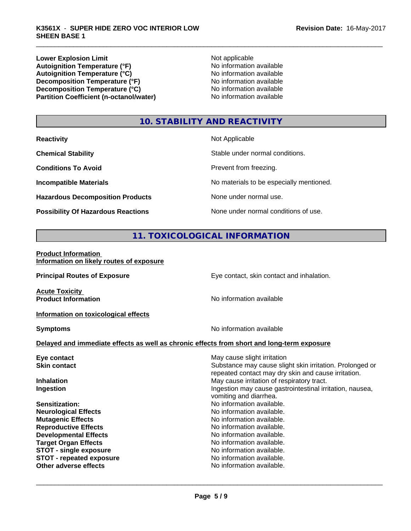**Lower Explosion Limit**<br> **Autoignition Temperature (°F)**<br>
Mo information available Autoignition Temperature (°F)<br>
Autoignition Temperature (°C)<br>
No information available<br>
No information available Autoignition **Temperature** (°C) Mo information available<br>Decomposition **Temperature** (°F) No information available **Decomposition Temperature (°F)**<br> **Decomposition Temperature (°C)**<br>
No information available<br>
No information available **Decomposition Temperature (°C)**<br> **Partition Coefficient (n-octanol/water)** No information available **Partition Coefficient (n-octanol/water)** 

# **10. STABILITY AND REACTIVITY**

| <b>Reactivity</b>                         | Not Applicable                           |
|-------------------------------------------|------------------------------------------|
| <b>Chemical Stability</b>                 | Stable under normal conditions.          |
| <b>Conditions To Avoid</b>                | Prevent from freezing.                   |
| <b>Incompatible Materials</b>             | No materials to be especially mentioned. |
| <b>Hazardous Decomposition Products</b>   | None under normal use.                   |
| <b>Possibility Of Hazardous Reactions</b> | None under normal conditions of use.     |

# **11. TOXICOLOGICAL INFORMATION**

| <b>Product Information</b>               |  |
|------------------------------------------|--|
| Information on likely routes of exposure |  |

| <b>Principal Routes of Exposure</b>                                                          | Eye contact, skin contact and inhalation.                                                                                                      |
|----------------------------------------------------------------------------------------------|------------------------------------------------------------------------------------------------------------------------------------------------|
| <b>Acute Toxicity</b><br><b>Product Information</b>                                          | No information available                                                                                                                       |
| Information on toxicological effects                                                         |                                                                                                                                                |
| <b>Symptoms</b>                                                                              | No information available                                                                                                                       |
| Delayed and immediate effects as well as chronic effects from short and long-term exposure   |                                                                                                                                                |
| Eye contact<br><b>Skin contact</b>                                                           | May cause slight irritation<br>Substance may cause slight skin irritation. Prolonged or<br>repeated contact may dry skin and cause irritation. |
| <b>Inhalation</b><br>Ingestion                                                               | May cause irritation of respiratory tract.<br>Ingestion may cause gastrointestinal irritation, nausea,<br>vomiting and diarrhea.               |
| Sensitization:<br><b>Neurological Effects</b>                                                | No information available.<br>No information available.                                                                                         |
| <b>Mutagenic Effects</b><br><b>Reproductive Effects</b>                                      | No information available.<br>No information available.                                                                                         |
| <b>Developmental Effects</b><br><b>Target Organ Effects</b><br><b>STOT - single exposure</b> | No information available.<br>No information available.<br>No information available.                                                            |
| <b>STOT - repeated exposure</b><br>Other adverse effects                                     | No information available.<br>No information available.                                                                                         |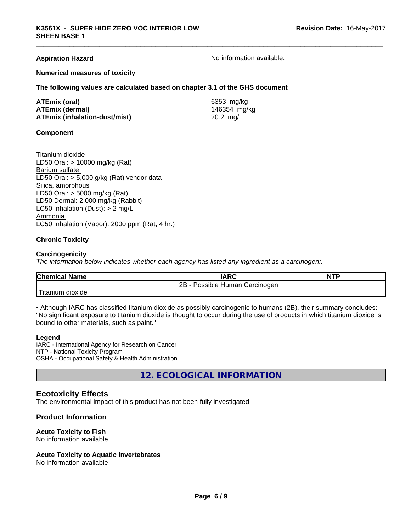#### **Aspiration Hazard No information available.** No information available.

#### **Numerical measures of toxicity**

**The following values are calculated based on chapter 3.1 of the GHS document**

| ATEmix (oral)                        | 6353 mg/kg   |
|--------------------------------------|--------------|
| <b>ATEmix (dermal)</b>               | 146354 mg/kg |
| <b>ATEmix (inhalation-dust/mist)</b> | 20.2 $mg/L$  |

#### **Component**

Titanium dioxide LD50 Oral: > 10000 mg/kg (Rat) Barium sulfate LD50 Oral:  $> 5,000$  g/kg (Rat) vendor data Silica, amorphous LD50 Oral: > 5000 mg/kg (Rat) LD50 Dermal: 2,000 mg/kg (Rabbit) LC50 Inhalation (Dust): > 2 mg/L Ammonia LC50 Inhalation (Vapor): 2000 ppm (Rat, 4 hr.)

#### **Chronic Toxicity**

#### **Carcinogenicity**

*The information below indicateswhether each agency has listed any ingredient as a carcinogen:.*

| <b>Chemical Name</b> | <b>IARC</b>                        | <b>NTP</b> |
|----------------------|------------------------------------|------------|
|                      | 2B<br>Possible Human<br>Carcinogen |            |
| Titanium<br>dioxide  |                                    |            |

• Although IARC has classified titanium dioxide as possibly carcinogenic to humans (2B), their summary concludes: "No significant exposure to titanium dioxide is thought to occur during the use of products in which titanium dioxide is bound to other materials, such as paint."

#### **Legend**

IARC - International Agency for Research on Cancer NTP - National Toxicity Program OSHA - Occupational Safety & Health Administration

**12. ECOLOGICAL INFORMATION**

# **Ecotoxicity Effects**

The environmental impact of this product has not been fully investigated.

# **Product Information**

# **Acute Toxicity to Fish**

No information available

#### **Acute Toxicity to Aquatic Invertebrates**

No information available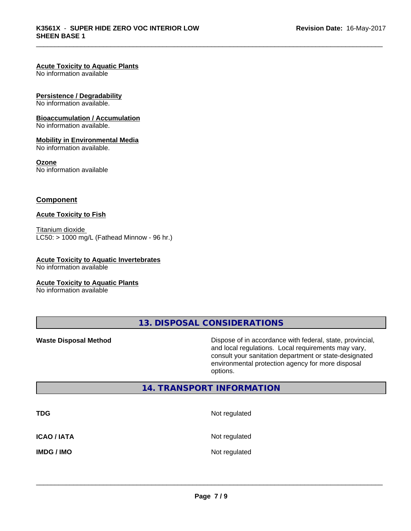#### **Acute Toxicity to Aquatic Plants**

No information available

#### **Persistence / Degradability**

No information available.

#### **Bioaccumulation / Accumulation**

No information available.

#### **Mobility in Environmental Media**

No information available.

#### **Ozone**

No information available

### **Component**

#### **Acute Toxicity to Fish**

Titanium dioxide  $LC50:$  > 1000 mg/L (Fathead Minnow - 96 hr.)

# **Acute Toxicity to Aquatic Invertebrates**

No information available

#### **Acute Toxicity to Aquatic Plants**

No information available

**13. DISPOSAL CONSIDERATIONS**

**Waste Disposal Method Dispose of in accordance with federal, state, provincial,** and local regulations. Local requirements may vary, consult your sanitation department or state-designated environmental protection agency for more disposal options.

# **14. TRANSPORT INFORMATION**

| <b>TDG</b>         | Not regulated |
|--------------------|---------------|
| <b>ICAO / IATA</b> | Not regulated |
| <b>IMDG / IMO</b>  | Not regulated |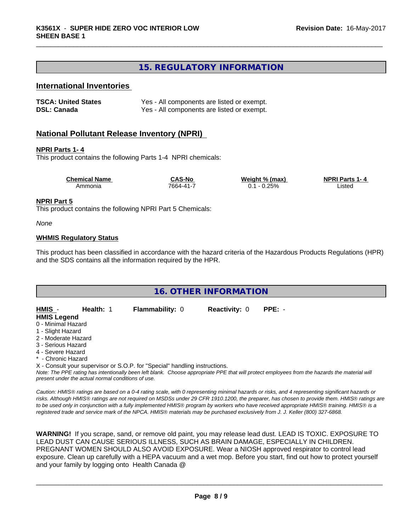# **15. REGULATORY INFORMATION**

# **International Inventories**

| <b>TSCA: United States</b> | Yes - All components are listed or exempt. |
|----------------------------|--------------------------------------------|
| <b>DSL: Canada</b>         | Yes - All components are listed or exempt. |

# **National Pollutant Release Inventory (NPRI)**

#### **NPRI Parts 1- 4**

This product contains the following Parts 1-4 NPRI chemicals:

| <b>Chemical Name</b> | <b>CAS-No</b> | Weight % (max) | <b>NPRI Parts</b><br>1-4 |  |
|----------------------|---------------|----------------|--------------------------|--|
| Ammonia              | 7664-41-7     | 0.25%<br>v.    | Listec                   |  |

#### **NPRI Part 5**

This product contains the following NPRI Part 5 Chemicals:

*None*

#### **WHMIS Regulatory Status**

This product has been classified in accordance with the hazard criteria of the Hazardous Products Regulations (HPR) and the SDS contains all the information required by the HPR.

| <b>16. OTHER INFORMATION</b>                                                                                                                                                                                                       |                                                                                                      |                      |                                                                                                                                                           |  |  |  |
|------------------------------------------------------------------------------------------------------------------------------------------------------------------------------------------------------------------------------------|------------------------------------------------------------------------------------------------------|----------------------|-----------------------------------------------------------------------------------------------------------------------------------------------------------|--|--|--|
| HMIS -<br>Health: 1<br><b>HMIS Legend</b><br>0 - Minimal Hazard<br>1 - Slight Hazard<br>2 - Moderate Hazard<br>3 - Serious Hazard<br>4 - Severe Hazard<br>* - Chronic Hazard<br>present under the actual normal conditions of use. | <b>Flammability: 0</b><br>X - Consult your supervisor or S.O.P. for "Special" handling instructions. | <b>Reactivity: 0</b> | $PPE: -$<br>Note: The PPE rating has intentionally been left blank. Choose appropriate PPE that will protect employees from the hazards the material will |  |  |  |

*Caution: HMISÒ ratings are based on a 0-4 rating scale, with 0 representing minimal hazards or risks, and 4 representing significant hazards or risks. Although HMISÒ ratings are not required on MSDSs under 29 CFR 1910.1200, the preparer, has chosen to provide them. HMISÒ ratings are to be used only in conjunction with a fully implemented HMISÒ program by workers who have received appropriate HMISÒ training. HMISÒ is a registered trade and service mark of the NPCA. HMISÒ materials may be purchased exclusively from J. J. Keller (800) 327-6868.*

**WARNING!** If you scrape, sand, or remove old paint, you may release lead dust. LEAD IS TOXIC. EXPOSURE TO LEAD DUST CAN CAUSE SERIOUS ILLNESS, SUCH AS BRAIN DAMAGE, ESPECIALLY IN CHILDREN. PREGNANT WOMEN SHOULD ALSO AVOID EXPOSURE.Wear a NIOSH approved respirator to control lead exposure. Clean up carefully with a HEPA vacuum and a wet mop. Before you start, find out how to protect yourself and your family by logging onto Health Canada @